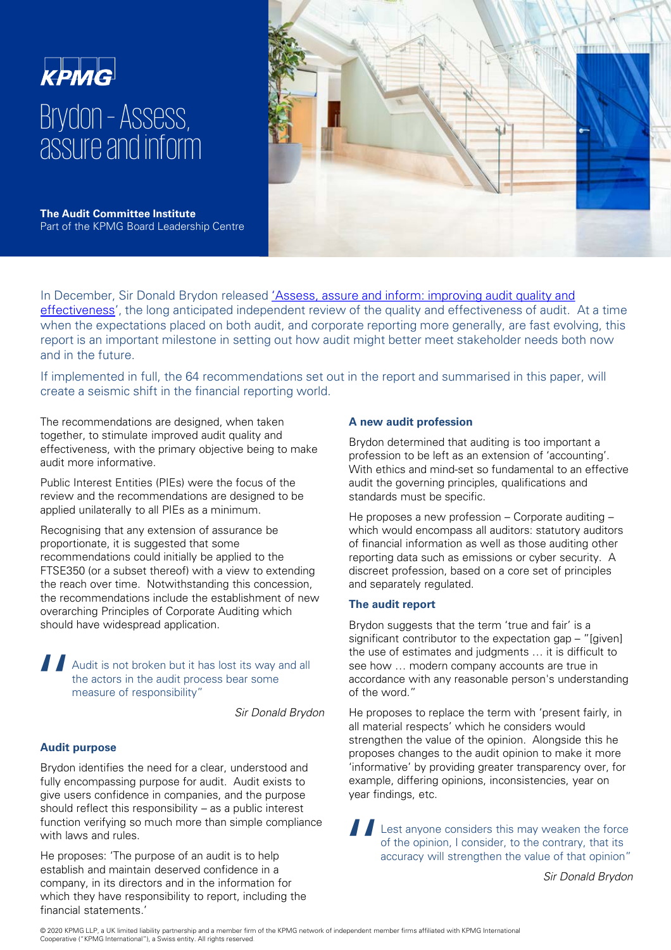# **KPMG** Brydon –Assess, assure and inform



**The Audit Committee Institute**  Part of the KPMG Board Leadership Centre

[In December, Sir Donald Brydon released 'Assess, assure and inform: improving audit quality and](https://assets.publishing.service.gov.uk/government/uploads/system/uploads/attachment_data/file/852960/brydon-review-final-report.pdf) effectiveness', the long anticipated independent review of the quality and effectiveness of audit. At a time when the expectations placed on both audit, and corporate reporting more generally, are fast evolving, this report is an important milestone in setting out how audit might better meet stakeholder needs both now and in the future.

If implemented in full, the 64 recommendations set out in the report and summarised in this paper, will create a seismic shift in the financial reporting world.

The recommendations are designed, when taken together, to stimulate improved audit quality and effectiveness, with the primary objective being to make audit more informative.

Public Interest Entities (PIEs) were the focus of the review and the recommendations are designed to be applied unilaterally to all PIEs as a minimum.

Recognising that any extension of assurance be proportionate, it is suggested that some recommendations could initially be applied to the FTSE350 (or a subset thereof) with a view to extending the reach over time. Notwithstanding this concession, the recommendations include the establishment of new overarching Principles of Corporate Auditing which should have widespread application.

 $\prod_{\substack{t\\ t \\ r}}$ Audit is not broken but it has lost its way and all the actors in the audit process bear some measure of responsibility"

Sir Donald Brydon

# **Audit purpose**

Brydon identifies the need for a clear, understood and fully encompassing purpose for audit. Audit exists to give users confidence in companies, and the purpose should reflect this responsibility – as a public interest function verifying so much more than simple compliance with laws and rules.

He proposes: 'The purpose of an audit is to help establish and maintain deserved confidence in a company, in its directors and in the information for which they have responsibility to report, including the financial statements.'

# **A new audit profession**

Brydon determined that auditing is too important a profession to be left as an extension of 'accounting'. With ethics and mind-set so fundamental to an effective audit the governing principles, qualifications and standards must be specific.

He proposes a new profession – Corporate auditing – which would encompass all auditors: statutory auditors of financial information as well as those auditing other reporting data such as emissions or cyber security. A discreet profession, based on a core set of principles and separately regulated.

# **The audit report**

Brydon suggests that the term 'true and fair' is a significant contributor to the expectation gap – "[given] the use of estimates and judgments … it is difficult to see how … modern company accounts are true in accordance with any reasonable person's understanding of the word."

He proposes to replace the term with 'present fairly, in all material respects' which he considers would strengthen the value of the opinion. Alongside this he proposes changes to the audit opinion to make it more 'informative' by providing greater transparency over, for example, differing opinions, inconsistencies, year on year findings, etc.

 $\frac{1}{\frac{1}{\frac{1}{\alpha}}}$ Lest anyone considers this may weaken the force of the opinion, I consider, to the contrary, that its accuracy will strengthen the value of that opinion"

Sir Donald Brydon

© 2020 KPMG LLP, a UK limited liability partnership and a member firm of the KPMG network of independent member firms affiliated with KPMG International Cooperative ("KPMG International"), a Swiss entity. All rights reserved.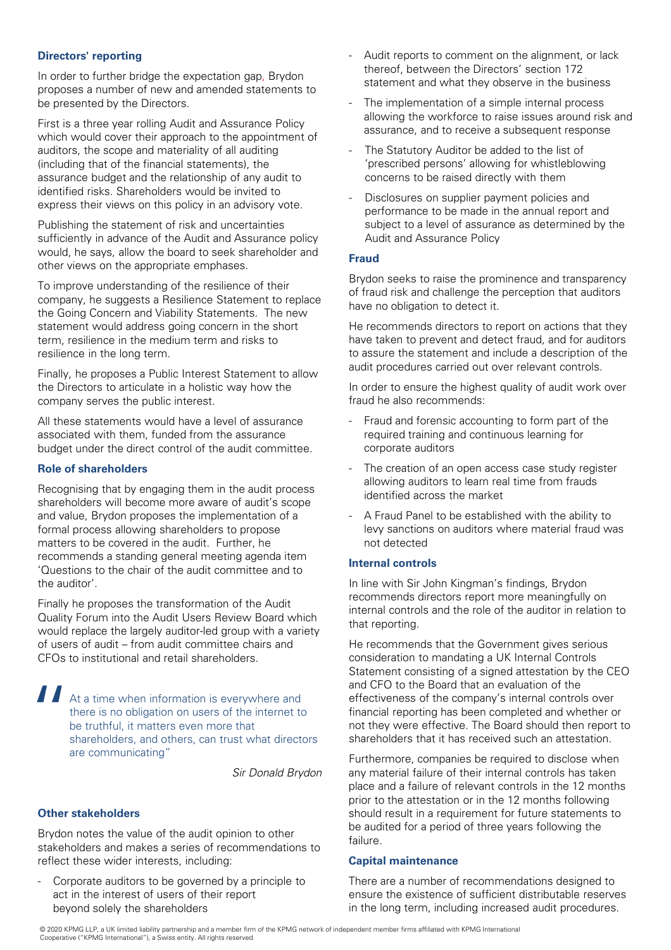# **Directors' reporting**

In order to further bridge the expectation gap, Brydon proposes a number of new and amended statements to be presented by the Directors.

First is a three year rolling Audit and Assurance Policy which would cover their approach to the appointment of auditors, the scope and materiality of all auditing (including that of the financial statements), the assurance budget and the relationship of any audit to identified risks. Shareholders would be invited to express their views on this policy in an advisory vote.

Publishing the statement of risk and uncertainties sufficiently in advance of the Audit and Assurance policy would, he says, allow the board to seek shareholder and other views on the appropriate emphases.

To improve understanding of the resilience of their company, he suggests a Resilience Statement to replace the Going Concern and Viability Statements. The new statement would address going concern in the short term, resilience in the medium term and risks to resilience in the long term.

Finally, he proposes a Public Interest Statement to allow the Directors to articulate in a holistic way how the company serves the public interest.

All these statements would have a level of assurance associated with them, funded from the assurance budget under the direct control of the audit committee.

# **Role of shareholders**

Recognising that by engaging them in the audit process shareholders will become more aware of audit's scope and value, Brydon proposes the implementation of a formal process allowing shareholders to propose matters to be covered in the audit. Further, he recommends a standing general meeting agenda item 'Questions to the chair of the audit committee and to the auditor'.

Finally he proposes the transformation of the Audit Quality Forum into the Audit Users Review Board which would replace the largely auditor-led group with a variety of users of audit – from audit committee chairs and CFOs to institutional and retail shareholders.

 $\begin{array}{c} \prod_{\begin{array}{c} t \\ t \\ t \end{array} \\ \vdots \\ t \end{array} \end{array}$ At a time when information is everywhere and there is no obligation on users of the internet to be truthful, it matters even more that shareholders, and others, can trust what directors are communicating"

Sir Donald Brydon

# **Other stakeholders**

Brydon notes the value of the audit opinion to other stakeholders and makes a series of recommendations to reflect these wider interests, including:

- Corporate auditors to be governed by a principle to act in the interest of users of their report beyond solely the shareholders

- Audit reports to comment on the alignment, or lack thereof, between the Directors' section 172 statement and what they observe in the business
- The implementation of a simple internal process allowing the workforce to raise issues around risk and assurance, and to receive a subsequent response
- The Statutory Auditor be added to the list of 'prescribed persons' allowing for whistleblowing concerns to be raised directly with them
- Disclosures on supplier payment policies and performance to be made in the annual report and subject to a level of assurance as determined by the Audit and Assurance Policy

### **Fraud**

Brydon seeks to raise the prominence and transparency of fraud risk and challenge the perception that auditors have no obligation to detect it.

He recommends directors to report on actions that they have taken to prevent and detect fraud, and for auditors to assure the statement and include a description of the audit procedures carried out over relevant controls.

In order to ensure the highest quality of audit work over fraud he also recommends:

- Fraud and forensic accounting to form part of the required training and continuous learning for corporate auditors
- The creation of an open access case study register allowing auditors to learn real time from frauds identified across the market
- A Fraud Panel to be established with the ability to levy sanctions on auditors where material fraud was not detected

#### **Internal controls**

In line with Sir John Kingman's findings, Brydon recommends directors report more meaningfully on internal controls and the role of the auditor in relation to that reporting.

He recommends that the Government gives serious consideration to mandating a UK Internal Controls Statement consisting of a signed attestation by the CEO and CFO to the Board that an evaluation of the effectiveness of the company's internal controls over financial reporting has been completed and whether or not they were effective. The Board should then report to shareholders that it has received such an attestation.

Furthermore, companies be required to disclose when any material failure of their internal controls has taken place and a failure of relevant controls in the 12 months prior to the attestation or in the 12 months following should result in a requirement for future statements to be audited for a period of three years following the failure.

#### **Capital maintenance**

There are a number of recommendations designed to ensure the existence of sufficient distributable reserves in the long term, including increased audit procedures.

© 2020 KPMG LLP, a UK limited liability partnership and a member firm of the KPMG network of independent member firms affiliated with KPMG International Cooperative ("KPMG International"), a Swiss entity. All rights reserved.